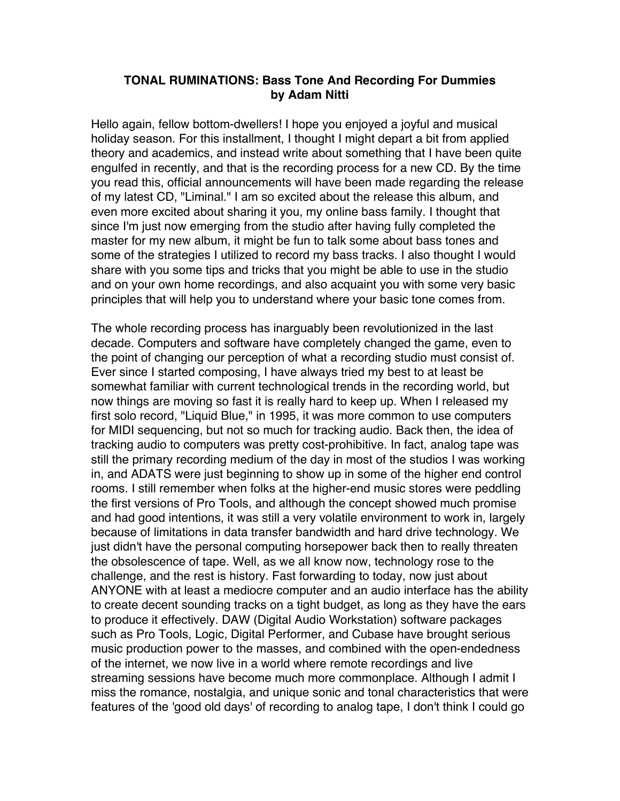#### **TONAL RUMINATIONS: Bass Tone And Recording For Dummies by Adam Nitti**

Hello again, fellow bottom-dwellers! I hope you enjoyed a joyful and musical holiday season. For this installment, I thought I might depart a bit from applied theory and academics, and instead write about something that I have been quite engulfed in recently, and that is the recording process for a new CD. By the time you read this, official announcements will have been made regarding the release of my latest CD, "Liminal." I am so excited about the release this album, and even more excited about sharing it you, my online bass family. I thought that since I'm just now emerging from the studio after having fully completed the master for my new album, it might be fun to talk some about bass tones and some of the strategies I utilized to record my bass tracks. I also thought I would share with you some tips and tricks that you might be able to use in the studio and on your own home recordings, and also acquaint you with some very basic principles that will help you to understand where your basic tone comes from.

The whole recording process has inarguably been revolutionized in the last decade. Computers and software have completely changed the game, even to the point of changing our perception of what a recording studio must consist of. Ever since I started composing, I have always tried my best to at least be somewhat familiar with current technological trends in the recording world, but now things are moving so fast it is really hard to keep up. When I released my first solo record, "Liquid Blue," in 1995, it was more common to use computers for MIDI sequencing, but not so much for tracking audio. Back then, the idea of tracking audio to computers was pretty cost-prohibitive. In fact, analog tape was still the primary recording medium of the day in most of the studios I was working in, and ADATS were just beginning to show up in some of the higher end control rooms. I still remember when folks at the higher-end music stores were peddling the first versions of Pro Tools, and although the concept showed much promise and had good intentions, it was still a very volatile environment to work in, largely because of limitations in data transfer bandwidth and hard drive technology. We just didn't have the personal computing horsepower back then to really threaten the obsolescence of tape. Well, as we all know now, technology rose to the challenge, and the rest is history. Fast forwarding to today, now just about ANYONE with at least a mediocre computer and an audio interface has the ability to create decent sounding tracks on a tight budget, as long as they have the ears to produce it effectively. DAW (Digital Audio Workstation) software packages such as Pro Tools, Logic, Digital Performer, and Cubase have brought serious music production power to the masses, and combined with the open-endedness of the internet, we now live in a world where remote recordings and live streaming sessions have become much more commonplace. Although I admit I miss the romance, nostalgia, and unique sonic and tonal characteristics that were features of the 'good old days' of recording to analog tape, I don't think I could go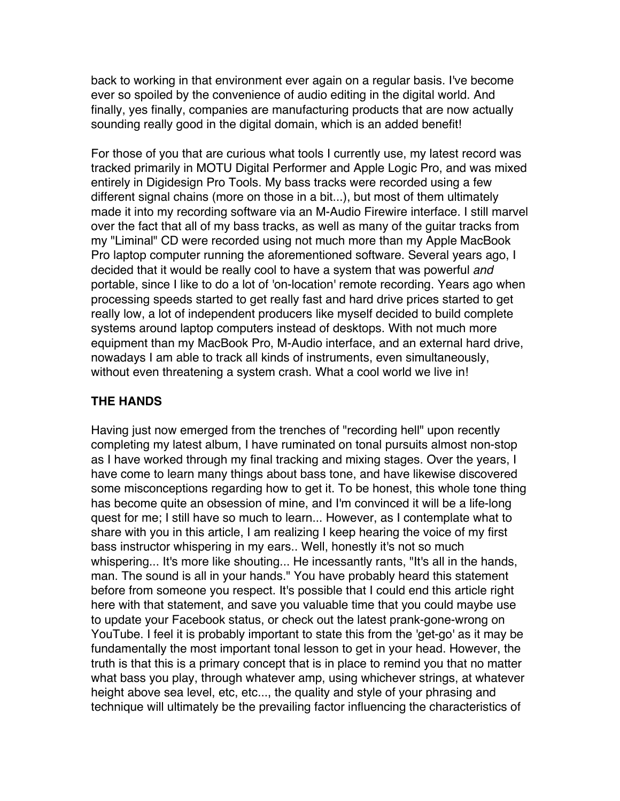back to working in that environment ever again on a regular basis. I've become ever so spoiled by the convenience of audio editing in the digital world. And finally, yes finally, companies are manufacturing products that are now actually sounding really good in the digital domain, which is an added benefit!

For those of you that are curious what tools I currently use, my latest record was tracked primarily in MOTU Digital Performer and Apple Logic Pro, and was mixed entirely in Digidesign Pro Tools. My bass tracks were recorded using a few different signal chains (more on those in a bit...), but most of them ultimately made it into my recording software via an M-Audio Firewire interface. I still marvel over the fact that all of my bass tracks, as well as many of the guitar tracks from my "Liminal" CD were recorded using not much more than my Apple MacBook Pro laptop computer running the aforementioned software. Several years ago, I decided that it would be really cool to have a system that was powerful and portable, since I like to do a lot of 'on-location' remote recording. Years ago when processing speeds started to get really fast and hard drive prices started to get really low, a lot of independent producers like myself decided to build complete systems around laptop computers instead of desktops. With not much more equipment than my MacBook Pro, M-Audio interface, and an external hard drive, nowadays I am able to track all kinds of instruments, even simultaneously, without even threatening a system crash. What a cool world we live in!

### **THE HANDS**

Having just now emerged from the trenches of "recording hell" upon recently completing my latest album, I have ruminated on tonal pursuits almost non-stop as I have worked through my final tracking and mixing stages. Over the years, I have come to learn many things about bass tone, and have likewise discovered some misconceptions regarding how to get it. To be honest, this whole tone thing has become quite an obsession of mine, and I'm convinced it will be a life-long quest for me; I still have so much to learn... However, as I contemplate what to share with you in this article, I am realizing I keep hearing the voice of my first bass instructor whispering in my ears.. Well, honestly it's not so much whispering... It's more like shouting... He incessantly rants, "It's all in the hands, man. The sound is all in your hands." You have probably heard this statement before from someone you respect. It's possible that I could end this article right here with that statement, and save you valuable time that you could maybe use to update your Facebook status, or check out the latest prank-gone-wrong on YouTube. I feel it is probably important to state this from the 'get-go' as it may be fundamentally the most important tonal lesson to get in your head. However, the truth is that this is a primary concept that is in place to remind you that no matter what bass you play, through whatever amp, using whichever strings, at whatever height above sea level, etc, etc..., the quality and style of your phrasing and technique will ultimately be the prevailing factor influencing the characteristics of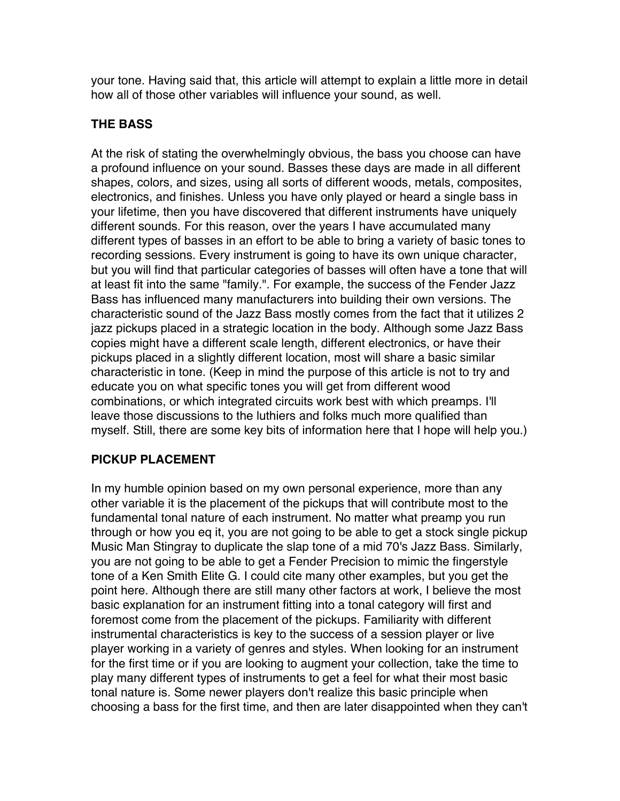your tone. Having said that, this article will attempt to explain a little more in detail how all of those other variables will influence your sound, as well.

## **THE BASS**

At the risk of stating the overwhelmingly obvious, the bass you choose can have a profound influence on your sound. Basses these days are made in all different shapes, colors, and sizes, using all sorts of different woods, metals, composites, electronics, and finishes. Unless you have only played or heard a single bass in your lifetime, then you have discovered that different instruments have uniquely different sounds. For this reason, over the years I have accumulated many different types of basses in an effort to be able to bring a variety of basic tones to recording sessions. Every instrument is going to have its own unique character, but you will find that particular categories of basses will often have a tone that will at least fit into the same "family.". For example, the success of the Fender Jazz Bass has influenced many manufacturers into building their own versions. The characteristic sound of the Jazz Bass mostly comes from the fact that it utilizes 2 jazz pickups placed in a strategic location in the body. Although some Jazz Bass copies might have a different scale length, different electronics, or have their pickups placed in a slightly different location, most will share a basic similar characteristic in tone. (Keep in mind the purpose of this article is not to try and educate you on what specific tones you will get from different wood combinations, or which integrated circuits work best with which preamps. I'll leave those discussions to the luthiers and folks much more qualified than myself. Still, there are some key bits of information here that I hope will help you.)

# **PICKUP PLACEMENT**

In my humble opinion based on my own personal experience, more than any other variable it is the placement of the pickups that will contribute most to the fundamental tonal nature of each instrument. No matter what preamp you run through or how you eq it, you are not going to be able to get a stock single pickup Music Man Stingray to duplicate the slap tone of a mid 70's Jazz Bass. Similarly, you are not going to be able to get a Fender Precision to mimic the fingerstyle tone of a Ken Smith Elite G. I could cite many other examples, but you get the point here. Although there are still many other factors at work, I believe the most basic explanation for an instrument fitting into a tonal category will first and foremost come from the placement of the pickups. Familiarity with different instrumental characteristics is key to the success of a session player or live player working in a variety of genres and styles. When looking for an instrument for the first time or if you are looking to augment your collection, take the time to play many different types of instruments to get a feel for what their most basic tonal nature is. Some newer players don't realize this basic principle when choosing a bass for the first time, and then are later disappointed when they can't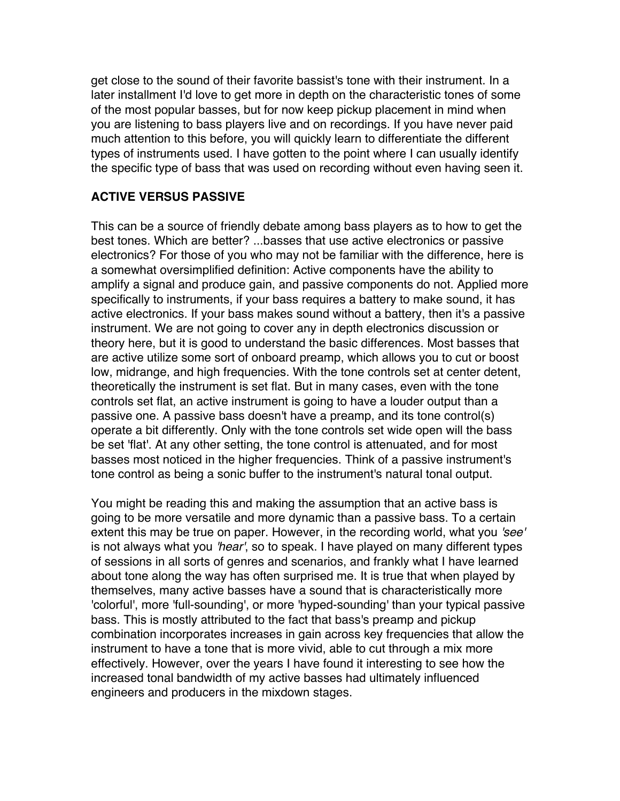get close to the sound of their favorite bassist's tone with their instrument. In a later installment I'd love to get more in depth on the characteristic tones of some of the most popular basses, but for now keep pickup placement in mind when you are listening to bass players live and on recordings. If you have never paid much attention to this before, you will quickly learn to differentiate the different types of instruments used. I have gotten to the point where I can usually identify the specific type of bass that was used on recording without even having seen it.

### **ACTIVE VERSUS PASSIVE**

This can be a source of friendly debate among bass players as to how to get the best tones. Which are better? ...basses that use active electronics or passive electronics? For those of you who may not be familiar with the difference, here is a somewhat oversimplified definition: Active components have the ability to amplify a signal and produce gain, and passive components do not. Applied more specifically to instruments, if your bass requires a battery to make sound, it has active electronics. If your bass makes sound without a battery, then it's a passive instrument. We are not going to cover any in depth electronics discussion or theory here, but it is good to understand the basic differences. Most basses that are active utilize some sort of onboard preamp, which allows you to cut or boost low, midrange, and high frequencies. With the tone controls set at center detent, theoretically the instrument is set flat. But in many cases, even with the tone controls set flat, an active instrument is going to have a louder output than a passive one. A passive bass doesn't have a preamp, and its tone control(s) operate a bit differently. Only with the tone controls set wide open will the bass be set 'flat'. At any other setting, the tone control is attenuated, and for most basses most noticed in the higher frequencies. Think of a passive instrument's tone control as being a sonic buffer to the instrument's natural tonal output.

You might be reading this and making the assumption that an active bass is going to be more versatile and more dynamic than a passive bass. To a certain extent this may be true on paper. However, in the recording world, what you 'see' is not always what you 'hear', so to speak. I have played on many different types of sessions in all sorts of genres and scenarios, and frankly what I have learned about tone along the way has often surprised me. It is true that when played by themselves, many active basses have a sound that is characteristically more 'colorful', more 'full-sounding', or more 'hyped-sounding' than your typical passive bass. This is mostly attributed to the fact that bass's preamp and pickup combination incorporates increases in gain across key frequencies that allow the instrument to have a tone that is more vivid, able to cut through a mix more effectively. However, over the years I have found it interesting to see how the increased tonal bandwidth of my active basses had ultimately influenced engineers and producers in the mixdown stages.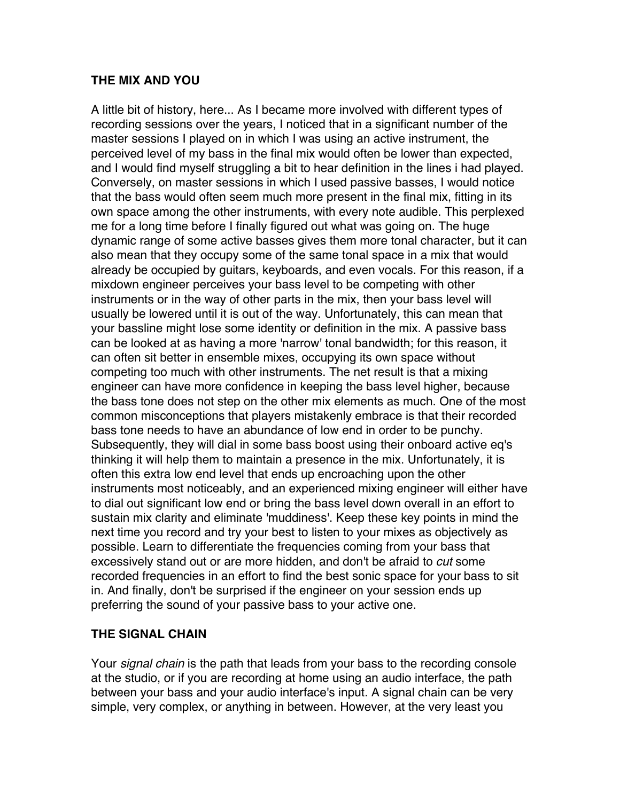### **THE MIX AND YOU**

A little bit of history, here... As I became more involved with different types of recording sessions over the years, I noticed that in a significant number of the master sessions I played on in which I was using an active instrument, the perceived level of my bass in the final mix would often be lower than expected, and I would find myself struggling a bit to hear definition in the lines i had played. Conversely, on master sessions in which I used passive basses, I would notice that the bass would often seem much more present in the final mix, fitting in its own space among the other instruments, with every note audible. This perplexed me for a long time before I finally figured out what was going on. The huge dynamic range of some active basses gives them more tonal character, but it can also mean that they occupy some of the same tonal space in a mix that would already be occupied by guitars, keyboards, and even vocals. For this reason, if a mixdown engineer perceives your bass level to be competing with other instruments or in the way of other parts in the mix, then your bass level will usually be lowered until it is out of the way. Unfortunately, this can mean that your bassline might lose some identity or definition in the mix. A passive bass can be looked at as having a more 'narrow' tonal bandwidth; for this reason, it can often sit better in ensemble mixes, occupying its own space without competing too much with other instruments. The net result is that a mixing engineer can have more confidence in keeping the bass level higher, because the bass tone does not step on the other mix elements as much. One of the most common misconceptions that players mistakenly embrace is that their recorded bass tone needs to have an abundance of low end in order to be punchy. Subsequently, they will dial in some bass boost using their onboard active eq's thinking it will help them to maintain a presence in the mix. Unfortunately, it is often this extra low end level that ends up encroaching upon the other instruments most noticeably, and an experienced mixing engineer will either have to dial out significant low end or bring the bass level down overall in an effort to sustain mix clarity and eliminate 'muddiness'. Keep these key points in mind the next time you record and try your best to listen to your mixes as objectively as possible. Learn to differentiate the frequencies coming from your bass that excessively stand out or are more hidden, and don't be afraid to cut some recorded frequencies in an effort to find the best sonic space for your bass to sit in. And finally, don't be surprised if the engineer on your session ends up preferring the sound of your passive bass to your active one.

#### **THE SIGNAL CHAIN**

Your *signal chain* is the path that leads from your bass to the recording console at the studio, or if you are recording at home using an audio interface, the path between your bass and your audio interface's input. A signal chain can be very simple, very complex, or anything in between. However, at the very least you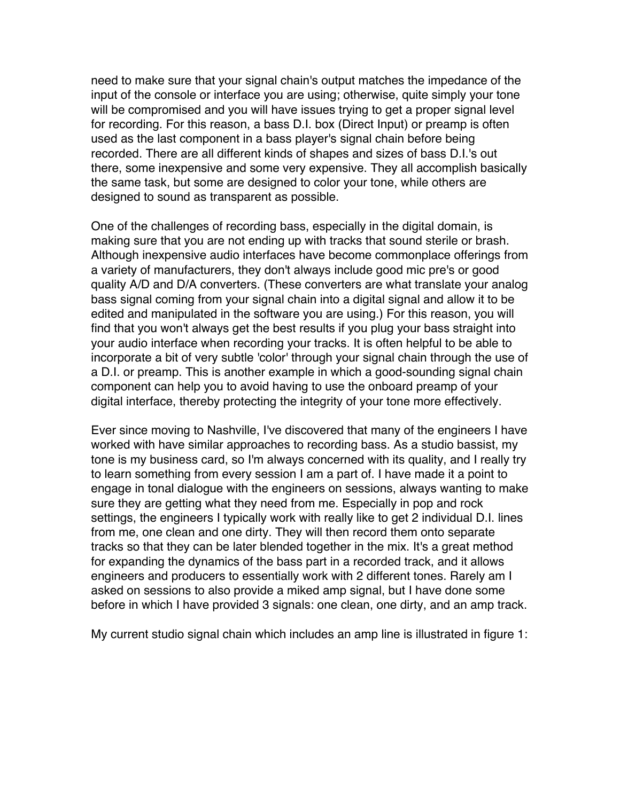need to make sure that your signal chain's output matches the impedance of the input of the console or interface you are using; otherwise, quite simply your tone will be compromised and you will have issues trying to get a proper signal level for recording. For this reason, a bass D.I. box (Direct Input) or preamp is often used as the last component in a bass player's signal chain before being recorded. There are all different kinds of shapes and sizes of bass D.I.'s out there, some inexpensive and some very expensive. They all accomplish basically the same task, but some are designed to color your tone, while others are designed to sound as transparent as possible.

One of the challenges of recording bass, especially in the digital domain, is making sure that you are not ending up with tracks that sound sterile or brash. Although inexpensive audio interfaces have become commonplace offerings from a variety of manufacturers, they don't always include good mic pre's or good quality A/D and D/A converters. (These converters are what translate your analog bass signal coming from your signal chain into a digital signal and allow it to be edited and manipulated in the software you are using.) For this reason, you will find that you won't always get the best results if you plug your bass straight into your audio interface when recording your tracks. It is often helpful to be able to incorporate a bit of very subtle 'color' through your signal chain through the use of a D.I. or preamp. This is another example in which a good-sounding signal chain component can help you to avoid having to use the onboard preamp of your digital interface, thereby protecting the integrity of your tone more effectively.

Ever since moving to Nashville, I've discovered that many of the engineers I have worked with have similar approaches to recording bass. As a studio bassist, my tone is my business card, so I'm always concerned with its quality, and I really try to learn something from every session I am a part of. I have made it a point to engage in tonal dialogue with the engineers on sessions, always wanting to make sure they are getting what they need from me. Especially in pop and rock settings, the engineers I typically work with really like to get 2 individual D.I. lines from me, one clean and one dirty. They will then record them onto separate tracks so that they can be later blended together in the mix. It's a great method for expanding the dynamics of the bass part in a recorded track, and it allows engineers and producers to essentially work with 2 different tones. Rarely am I asked on sessions to also provide a miked amp signal, but I have done some before in which I have provided 3 signals: one clean, one dirty, and an amp track.

My current studio signal chain which includes an amp line is illustrated in figure 1: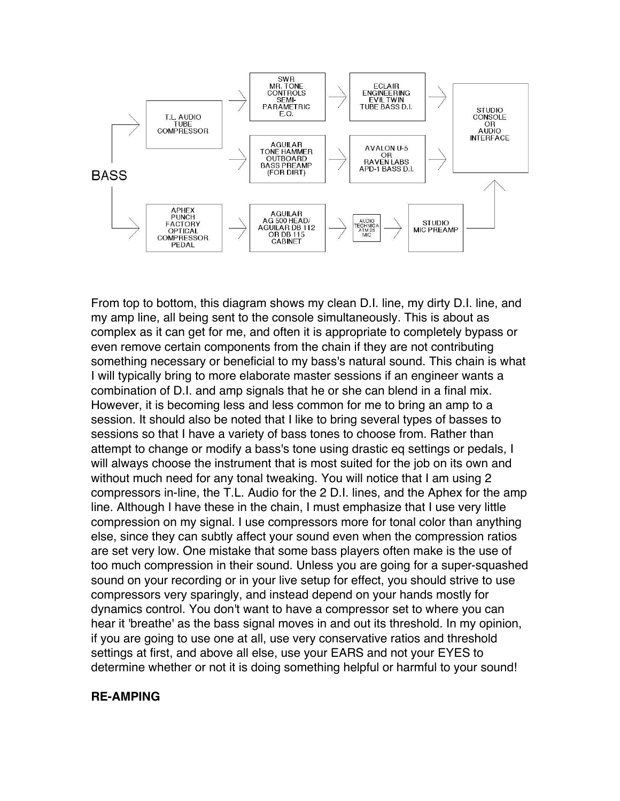

From top to bottom, this diagram shows my clean D.I. line, my dirty D.I. line, and my amp line, all being sent to the console simultaneously. This is about as complex as it can get for me, and often it is appropriate to completely bypass or even remove certain components from the chain if they are not contributing something necessary or beneficial to my bass's natural sound. This chain is what I will typically bring to more elaborate master sessions if an engineer wants a combination of D.I. and amp signals that he or she can blend in a final mix. However, it is becoming less and less common for me to bring an amp to a session. It should also be noted that I like to bring several types of basses to sessions so that I have a variety of bass tones to choose from. Rather than attempt to change or modify a bass's tone using drastic eq settings or pedals, I will always choose the instrument that is most suited for the job on its own and without much need for any tonal tweaking. You will notice that I am using 2 compressors in-line, the T.L. Audio for the 2 D.I. lines, and the Aphex for the amp line. Although I have these in the chain, I must emphasize that I use very little compression on my signal. I use compressors more for tonal color than anything else, since they can subtly affect your sound even when the compression ratios are set very low. One mistake that some bass players often make is the use of too much compression in their sound. Unless you are going for a super-squashed sound on your recording or in your live setup for effect, you should strive to use compressors very sparingly, and instead depend on your hands mostly for dynamics control. You don't want to have a compressor set to where you can hear it 'breathe' as the bass signal moves in and out its threshold. In my opinion, if you are going to use one at all, use very conservative ratios and threshold settings at first, and above all else, use your EARS and not your EYES to determine whether or not it is doing something helpful or harmful to your sound!

#### **RE-AMPING**